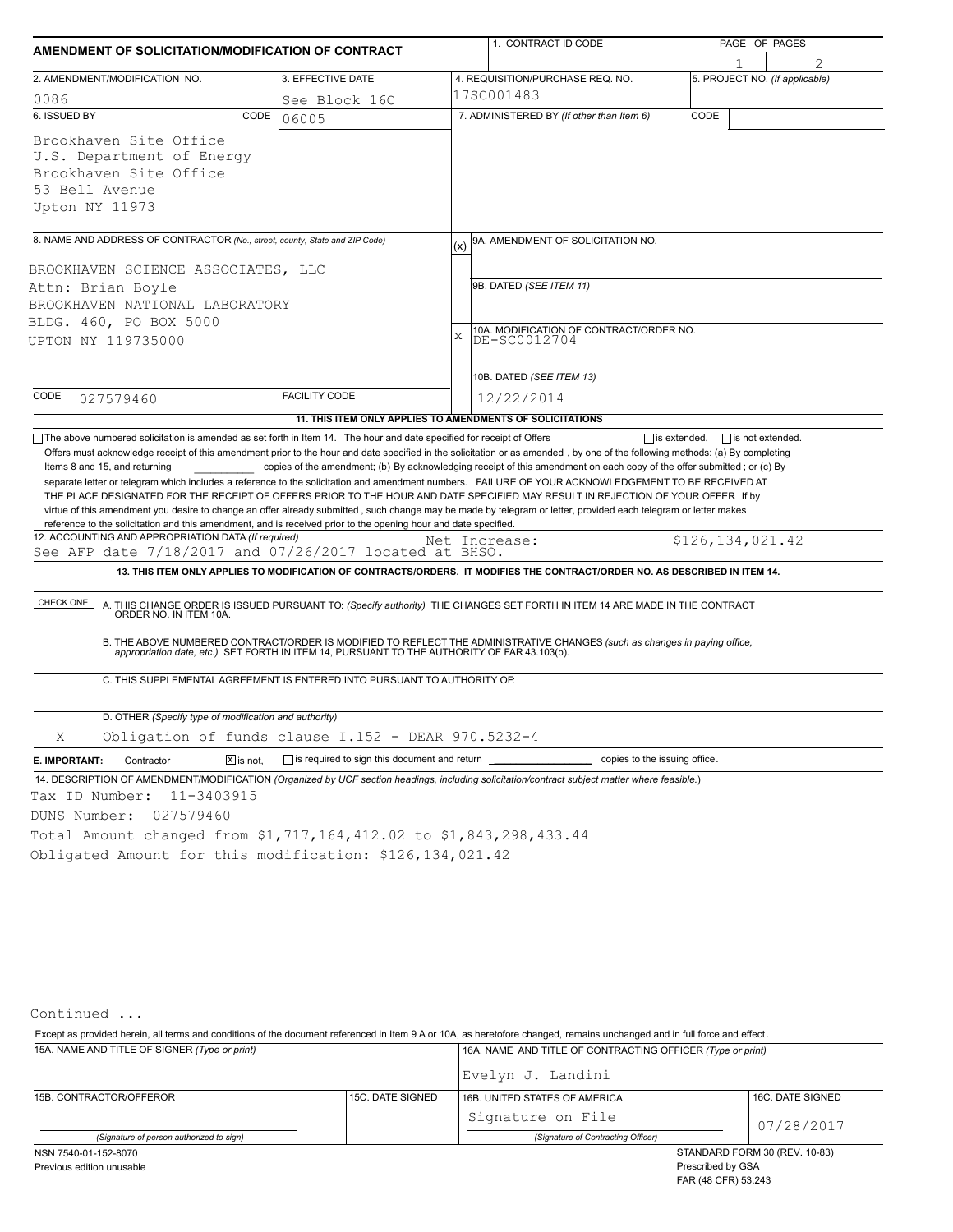| AMENDMENT OF SOLICITATION/MODIFICATION OF CONTRACT                                                                                                                                                                                                                                                                                                                                                                                                                                                                                                                                                                                                                                                                                          |                                                                          |     | 1. CONTRACT ID CODE                                                                                                                                                                                                                                                                              |      | PAGE OF PAGES                  |  |  |  |
|---------------------------------------------------------------------------------------------------------------------------------------------------------------------------------------------------------------------------------------------------------------------------------------------------------------------------------------------------------------------------------------------------------------------------------------------------------------------------------------------------------------------------------------------------------------------------------------------------------------------------------------------------------------------------------------------------------------------------------------------|--------------------------------------------------------------------------|-----|--------------------------------------------------------------------------------------------------------------------------------------------------------------------------------------------------------------------------------------------------------------------------------------------------|------|--------------------------------|--|--|--|
|                                                                                                                                                                                                                                                                                                                                                                                                                                                                                                                                                                                                                                                                                                                                             |                                                                          |     |                                                                                                                                                                                                                                                                                                  |      |                                |  |  |  |
| 2. AMENDMENT/MODIFICATION NO.                                                                                                                                                                                                                                                                                                                                                                                                                                                                                                                                                                                                                                                                                                               | 3. EFFECTIVE DATE                                                        |     | 4. REQUISITION/PURCHASE REQ. NO.                                                                                                                                                                                                                                                                 |      | 5. PROJECT NO. (If applicable) |  |  |  |
| 0086                                                                                                                                                                                                                                                                                                                                                                                                                                                                                                                                                                                                                                                                                                                                        | See Block 16C                                                            |     | 17SC001483                                                                                                                                                                                                                                                                                       |      |                                |  |  |  |
| 6. ISSUED BY<br>CODE                                                                                                                                                                                                                                                                                                                                                                                                                                                                                                                                                                                                                                                                                                                        | 06005                                                                    |     | 7. ADMINISTERED BY (If other than Item 6)                                                                                                                                                                                                                                                        | CODE |                                |  |  |  |
| Brookhaven Site Office                                                                                                                                                                                                                                                                                                                                                                                                                                                                                                                                                                                                                                                                                                                      |                                                                          |     |                                                                                                                                                                                                                                                                                                  |      |                                |  |  |  |
| U.S. Department of Energy                                                                                                                                                                                                                                                                                                                                                                                                                                                                                                                                                                                                                                                                                                                   |                                                                          |     |                                                                                                                                                                                                                                                                                                  |      |                                |  |  |  |
| Brookhaven Site Office                                                                                                                                                                                                                                                                                                                                                                                                                                                                                                                                                                                                                                                                                                                      |                                                                          |     |                                                                                                                                                                                                                                                                                                  |      |                                |  |  |  |
| 53 Bell Avenue                                                                                                                                                                                                                                                                                                                                                                                                                                                                                                                                                                                                                                                                                                                              |                                                                          |     |                                                                                                                                                                                                                                                                                                  |      |                                |  |  |  |
| Upton NY 11973                                                                                                                                                                                                                                                                                                                                                                                                                                                                                                                                                                                                                                                                                                                              |                                                                          |     |                                                                                                                                                                                                                                                                                                  |      |                                |  |  |  |
|                                                                                                                                                                                                                                                                                                                                                                                                                                                                                                                                                                                                                                                                                                                                             |                                                                          |     |                                                                                                                                                                                                                                                                                                  |      |                                |  |  |  |
| 8. NAME AND ADDRESS OF CONTRACTOR (No., street, county, State and ZIP Code)                                                                                                                                                                                                                                                                                                                                                                                                                                                                                                                                                                                                                                                                 |                                                                          | (x) | 9A. AMENDMENT OF SOLICITATION NO.                                                                                                                                                                                                                                                                |      |                                |  |  |  |
| BROOKHAVEN SCIENCE ASSOCIATES, LLC                                                                                                                                                                                                                                                                                                                                                                                                                                                                                                                                                                                                                                                                                                          |                                                                          |     |                                                                                                                                                                                                                                                                                                  |      |                                |  |  |  |
| Attn: Brian Boyle                                                                                                                                                                                                                                                                                                                                                                                                                                                                                                                                                                                                                                                                                                                           |                                                                          |     | 9B. DATED (SEE ITEM 11)                                                                                                                                                                                                                                                                          |      |                                |  |  |  |
| BROOKHAVEN NATIONAL LABORATORY                                                                                                                                                                                                                                                                                                                                                                                                                                                                                                                                                                                                                                                                                                              |                                                                          |     |                                                                                                                                                                                                                                                                                                  |      |                                |  |  |  |
| BLDG. 460, PO BOX 5000                                                                                                                                                                                                                                                                                                                                                                                                                                                                                                                                                                                                                                                                                                                      |                                                                          |     |                                                                                                                                                                                                                                                                                                  |      |                                |  |  |  |
| UPTON NY 119735000                                                                                                                                                                                                                                                                                                                                                                                                                                                                                                                                                                                                                                                                                                                          |                                                                          | X   | 10A. MODIFICATION OF CONTRACT/ORDER NO.<br>DE-SC0012704                                                                                                                                                                                                                                          |      |                                |  |  |  |
|                                                                                                                                                                                                                                                                                                                                                                                                                                                                                                                                                                                                                                                                                                                                             |                                                                          |     |                                                                                                                                                                                                                                                                                                  |      |                                |  |  |  |
|                                                                                                                                                                                                                                                                                                                                                                                                                                                                                                                                                                                                                                                                                                                                             |                                                                          |     | 10B. DATED (SEE ITEM 13)                                                                                                                                                                                                                                                                         |      |                                |  |  |  |
| CODE<br>027579460                                                                                                                                                                                                                                                                                                                                                                                                                                                                                                                                                                                                                                                                                                                           | <b>FACILITY CODE</b>                                                     |     | 12/22/2014                                                                                                                                                                                                                                                                                       |      |                                |  |  |  |
|                                                                                                                                                                                                                                                                                                                                                                                                                                                                                                                                                                                                                                                                                                                                             | 11. THIS ITEM ONLY APPLIES TO AMENDMENTS OF SOLICITATIONS                |     |                                                                                                                                                                                                                                                                                                  |      |                                |  |  |  |
| Items 8 and 15, and returning<br>separate letter or telegram which includes a reference to the solicitation and amendment numbers. FAILURE OF YOUR ACKNOWLEDGEMENT TO BE RECEIVED AT<br>THE PLACE DESIGNATED FOR THE RECEIPT OF OFFERS PRIOR TO THE HOUR AND DATE SPECIFIED MAY RESULT IN REJECTION OF YOUR OFFER If by<br>virtue of this amendment you desire to change an offer already submitted, such change may be made by telegram or letter, provided each telegram or letter makes<br>reference to the solicitation and this amendment, and is received prior to the opening hour and date specified.<br>12. ACCOUNTING AND APPROPRIATION DATA (If required)<br>See AFP date 7/18/2017 and 07/26/2017 located at BHSO.<br>CHECK ONE |                                                                          |     | Net Increase:<br>13. THIS ITEM ONLY APPLIES TO MODIFICATION OF CONTRACTS/ORDERS. IT MODIFIES THE CONTRACT/ORDER NO. AS DESCRIBED IN ITEM 14.<br>A. THIS CHANGE ORDER IS ISSUED PURSUANT TO: (Specify authority) THE CHANGES SET FORTH IN ITEM 14 ARE MADE IN THE CONTRACT ORDER NO. IN ITEM 10A. |      | \$126,134,021.42               |  |  |  |
|                                                                                                                                                                                                                                                                                                                                                                                                                                                                                                                                                                                                                                                                                                                                             |                                                                          |     | B. THE ABOVE NUMBERED CONTRACT/ORDER IS MODIFIED TO REFLECT THE ADMINISTRATIVE CHANGES (such as changes in paying office,<br>appropriation date, etc.) SET FORTH IN ITEM 14, PURSUANT TO THE AUTHORITY OF FAR 43.103(b).                                                                         |      |                                |  |  |  |
|                                                                                                                                                                                                                                                                                                                                                                                                                                                                                                                                                                                                                                                                                                                                             | C. THIS SUPPLEMENTAL AGREEMENT IS ENTERED INTO PURSUANT TO AUTHORITY OF: |     |                                                                                                                                                                                                                                                                                                  |      |                                |  |  |  |
| D. OTHER (Specify type of modification and authority)                                                                                                                                                                                                                                                                                                                                                                                                                                                                                                                                                                                                                                                                                       |                                                                          |     |                                                                                                                                                                                                                                                                                                  |      |                                |  |  |  |
| Χ                                                                                                                                                                                                                                                                                                                                                                                                                                                                                                                                                                                                                                                                                                                                           | Obligation of funds clause I.152 - DEAR 970.5232-4                       |     |                                                                                                                                                                                                                                                                                                  |      |                                |  |  |  |
| $X$ is not.<br>E. IMPORTANT:<br>Contractor                                                                                                                                                                                                                                                                                                                                                                                                                                                                                                                                                                                                                                                                                                  | $\Box$ is required to sign this document and return $\Box$               |     | copies to the issuing office.                                                                                                                                                                                                                                                                    |      |                                |  |  |  |
| 14. DESCRIPTION OF AMENDMENT/MODIFICATION (Organized by UCF section headings, including solicitation/contract subject matter where feasible.)                                                                                                                                                                                                                                                                                                                                                                                                                                                                                                                                                                                               |                                                                          |     |                                                                                                                                                                                                                                                                                                  |      |                                |  |  |  |
| Tax ID Number:<br>11-3403915                                                                                                                                                                                                                                                                                                                                                                                                                                                                                                                                                                                                                                                                                                                |                                                                          |     |                                                                                                                                                                                                                                                                                                  |      |                                |  |  |  |
| DUNS Number:<br>027579460                                                                                                                                                                                                                                                                                                                                                                                                                                                                                                                                                                                                                                                                                                                   |                                                                          |     |                                                                                                                                                                                                                                                                                                  |      |                                |  |  |  |
|                                                                                                                                                                                                                                                                                                                                                                                                                                                                                                                                                                                                                                                                                                                                             |                                                                          |     |                                                                                                                                                                                                                                                                                                  |      |                                |  |  |  |
| Total Amount changed from \$1,717,164,412.02 to \$1,843,298,433.44                                                                                                                                                                                                                                                                                                                                                                                                                                                                                                                                                                                                                                                                          |                                                                          |     |                                                                                                                                                                                                                                                                                                  |      |                                |  |  |  |
| Obligated Amount for this modification: \$126,134,021.42                                                                                                                                                                                                                                                                                                                                                                                                                                                                                                                                                                                                                                                                                    |                                                                          |     |                                                                                                                                                                                                                                                                                                  |      |                                |  |  |  |

Continued ...

15A. NAME AND TITLE OF SIGNER *(Type or print)* 16A. NAME AND TITLE OF CONTRACTING OFFICER *(Type or print)* Except as provided herein, all terms and conditions of the document referenced in Item 9 A or 10A, as heretofore changed, remains unchanged and in full force and effect .

|                                          |                  | Evelyn J. Landini                  |                               |  |  |
|------------------------------------------|------------------|------------------------------------|-------------------------------|--|--|
| 15B. CONTRACTOR/OFFEROR                  | 15C. DATE SIGNED | 16B. UNITED STATES OF AMERICA      | 16C. DATE SIGNED              |  |  |
|                                          |                  | Signature on File                  | 07/28/2017                    |  |  |
| (Signature of person authorized to sign) |                  | (Signature of Contracting Officer) |                               |  |  |
| NSN 7540-01-152-8070                     |                  |                                    | STANDARD FORM 30 (REV. 10-83) |  |  |